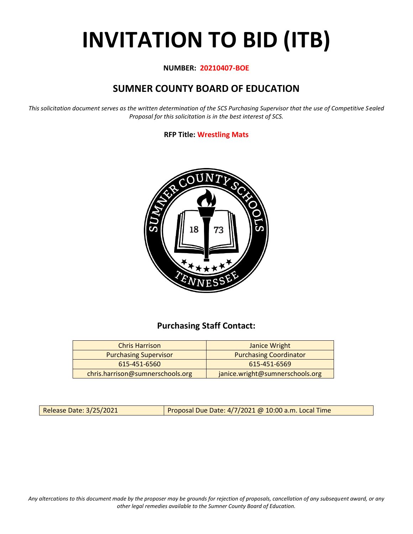# **INVITATION TO BID (ITB)**

#### **NUMBER: 20210407-BOE**

# **SUMNER COUNTY BOARD OF EDUCATION**

*This solicitation document serves as the written determination of the SCS Purchasing Supervisor that the use of Competitive Sealed Proposal for this solicitation is in the best interest of SCS.*

#### **RFP Title: Wrestling Mats**



## **Purchasing Staff Contact:**

| <b>Chris Harrison</b>            | Janice Wright                   |
|----------------------------------|---------------------------------|
| <b>Purchasing Supervisor</b>     | <b>Purchasing Coordinator</b>   |
| 615-451-6560                     | 615-451-6569                    |
| chris.harrison@sumnerschools.org | janice.wright@sumnerschools.org |

Release Date: 3/25/2021 | Proposal Due Date: 4/7/2021 @ 10:00 a.m. Local Time

*Any altercations to this document made by the proposer may be grounds for rejection of proposals, cancellation of any subsequent award, or any other legal remedies available to the Sumner County Board of Education.*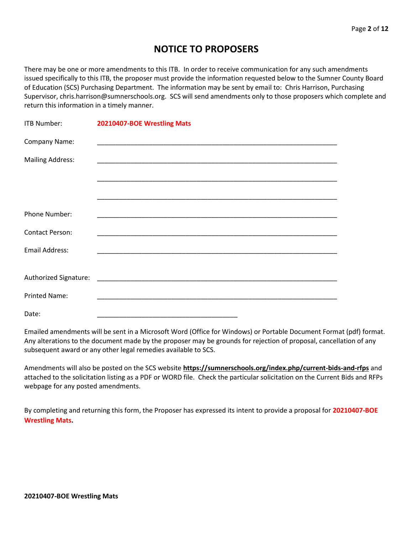## **NOTICE TO PROPOSERS**

There may be one or more amendments to this ITB. In order to receive communication for any such amendments issued specifically to this ITB, the proposer must provide the information requested below to the Sumner County Board of Education (SCS) Purchasing Department. The information may be sent by email to: Chris Harrison, Purchasing Supervisor, chris.harrison@sumnerschools.org. SCS will send amendments only to those proposers which complete and return this information in a timely manner.

| <b>ITB Number:</b>      | 20210407-BOE Wrestling Mats |
|-------------------------|-----------------------------|
| Company Name:           |                             |
| <b>Mailing Address:</b> |                             |
|                         |                             |
|                         |                             |
| Phone Number:           |                             |
| <b>Contact Person:</b>  |                             |
| <b>Email Address:</b>   |                             |
|                         |                             |
|                         |                             |
| <b>Printed Name:</b>    |                             |
| Date:                   |                             |

Emailed amendments will be sent in a Microsoft Word (Office for Windows) or Portable Document Format (pdf) format. Any alterations to the document made by the proposer may be grounds for rejection of proposal, cancellation of any subsequent award or any other legal remedies available to SCS.

Amendments will also be posted on the SCS website **https://sumnerschools.org/index.php/current-bids-and-rfps** and attached to the solicitation listing as a PDF or WORD file. Check the particular solicitation on the Current Bids and RFPs webpage for any posted amendments.

By completing and returning this form, the Proposer has expressed its intent to provide a proposal for **20210407-BOE Wrestling Mats.**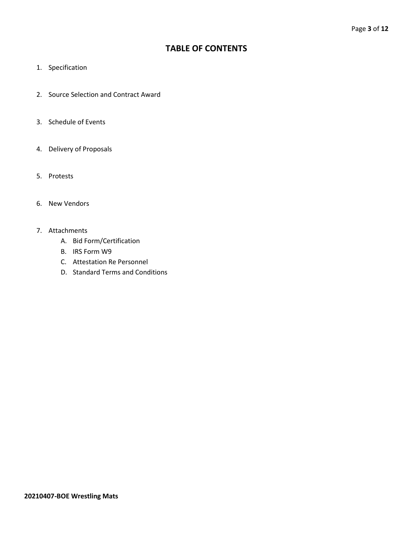## **TABLE OF CONTENTS**

- 1. Specification
- 2. Source Selection and Contract Award
- 3. Schedule of Events
- 4. Delivery of Proposals
- 5. Protests
- 6. New Vendors
- 7. Attachments
	- A. Bid Form/Certification
	- B. IRS Form W9
	- C. Attestation Re Personnel
	- D. Standard Terms and Conditions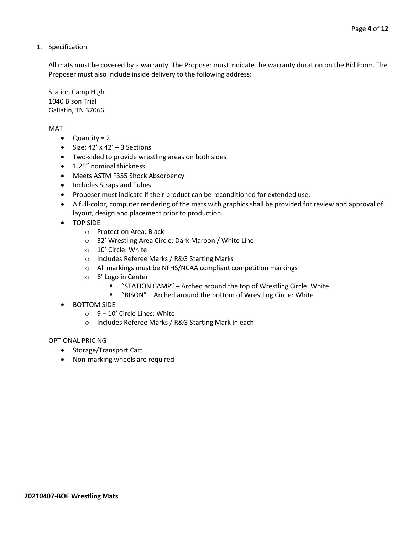1. Specification

All mats must be covered by a warranty. The Proposer must indicate the warranty duration on the Bid Form. The Proposer must also include inside delivery to the following address:

Station Camp High 1040 Bison Trial Gallatin, TN 37066

MAT

- Quantity = 2
- Size:  $42' \times 42' 3$  Sections
- Two-sided to provide wrestling areas on both sides
- 1.25" nominal thickness
- Meets ASTM F355 Shock Absorbency
- Includes Straps and Tubes
- Proposer must indicate if their product can be reconditioned for extended use.
- A full-color, computer rendering of the mats with graphics shall be provided for review and approval of layout, design and placement prior to production.
- TOP SIDE
	- o Protection Area: Black
	- o 32' Wrestling Area Circle: Dark Maroon / White Line
	- o 10' Circle: White
	- o Includes Referee Marks / R&G Starting Marks
	- o All markings must be NFHS/NCAA compliant competition markings
	- o 6' Logo in Center
		- "STATION CAMP" Arched around the top of Wrestling Circle: White
		- "BISON" Arched around the bottom of Wrestling Circle: White
- BOTTOM SIDE
	- $\circ$  9 10' Circle Lines: White
	- o Includes Referee Marks / R&G Starting Mark in each

#### OPTIONAL PRICING

- Storage/Transport Cart
- Non-marking wheels are required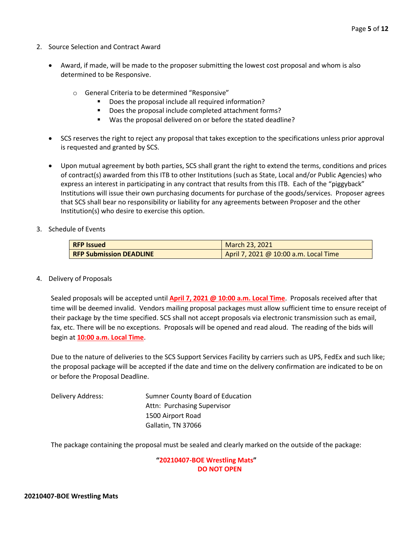- 2. Source Selection and Contract Award
	- Award, if made, will be made to the proposer submitting the lowest cost proposal and whom is also determined to be Responsive.
		- o General Criteria to be determined "Responsive"
			- Does the proposal include all required information?
			- Does the proposal include completed attachment forms?
			- Was the proposal delivered on or before the stated deadline?
	- SCS reserves the right to reject any proposal that takes exception to the specifications unless prior approval is requested and granted by SCS.
	- Upon mutual agreement by both parties, SCS shall grant the right to extend the terms, conditions and prices of contract(s) awarded from this ITB to other Institutions (such as State, Local and/or Public Agencies) who express an interest in participating in any contract that results from this ITB. Each of the "piggyback" Institutions will issue their own purchasing documents for purchase of the goods/services. Proposer agrees that SCS shall bear no responsibility or liability for any agreements between Proposer and the other Institution(s) who desire to exercise this option.
- 3. Schedule of Events

| <b>RFP Issued</b>              | March 23, 2021                        |  |  |
|--------------------------------|---------------------------------------|--|--|
| <b>RFP Submission DEADLINE</b> | April 7, 2021 @ 10:00 a.m. Local Time |  |  |

4. Delivery of Proposals

Sealed proposals will be accepted until **April 7, 2021 @ 10:00 a.m. Local Time**. Proposals received after that time will be deemed invalid. Vendors mailing proposal packages must allow sufficient time to ensure receipt of their package by the time specified. SCS shall not accept proposals via electronic transmission such as email, fax, etc. There will be no exceptions. Proposals will be opened and read aloud. The reading of the bids will begin at **10:00 a.m. Local Time**.

Due to the nature of deliveries to the SCS Support Services Facility by carriers such as UPS, FedEx and such like; the proposal package will be accepted if the date and time on the delivery confirmation are indicated to be on or before the Proposal Deadline.

Delivery Address: Sumner County Board of Education Attn: Purchasing Supervisor 1500 Airport Road Gallatin, TN 37066

The package containing the proposal must be sealed and clearly marked on the outside of the package:

**"20210407-BOE Wrestling Mats" DO NOT OPEN**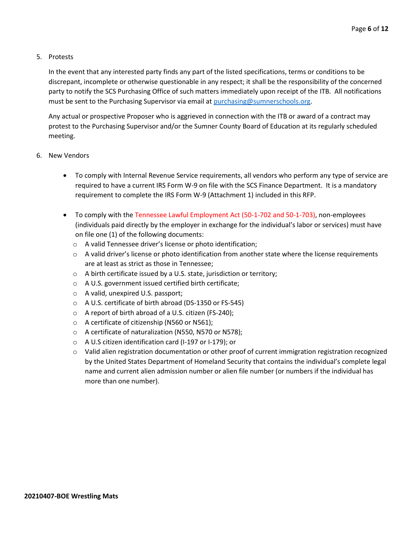#### 5. Protests

In the event that any interested party finds any part of the listed specifications, terms or conditions to be discrepant, incomplete or otherwise questionable in any respect; it shall be the responsibility of the concerned party to notify the SCS Purchasing Office of such matters immediately upon receipt of the ITB. All notifications must be sent to the Purchasing Supervisor via email at [purchasing@sumnerschools.org.](mailto:purchasing@sumnerschools.org)

Any actual or prospective Proposer who is aggrieved in connection with the ITB or award of a contract may protest to the Purchasing Supervisor and/or the Sumner County Board of Education at its regularly scheduled meeting.

- 6. New Vendors
	- To comply with Internal Revenue Service requirements, all vendors who perform any type of service are required to have a current IRS Form W-9 on file with the SCS Finance Department. It is a mandatory requirement to complete the IRS Form W-9 (Attachment 1) included in this RFP.
	- To comply with the Tennessee Lawful Employment Act (50-1-702 and 50-1-703), non-employees (individuals paid directly by the employer in exchange for the individual's labor or services) must have on file one (1) of the following documents:
		- o A valid Tennessee driver's license or photo identification;
		- $\circ$  A valid driver's license or photo identification from another state where the license requirements are at least as strict as those in Tennessee;
		- o A birth certificate issued by a U.S. state, jurisdiction or territory;
		- o A U.S. government issued certified birth certificate;
		- o A valid, unexpired U.S. passport;
		- o A U.S. certificate of birth abroad (DS-1350 or FS-545)
		- o A report of birth abroad of a U.S. citizen (FS-240);
		- o A certificate of citizenship (N560 or N561);
		- o A certificate of naturalization (N550, N570 or N578);
		- o A U.S citizen identification card (I-197 or I-179); or
		- o Valid alien registration documentation or other proof of current immigration registration recognized by the United States Department of Homeland Security that contains the individual's complete legal name and current alien admission number or alien file number (or numbers if the individual has more than one number).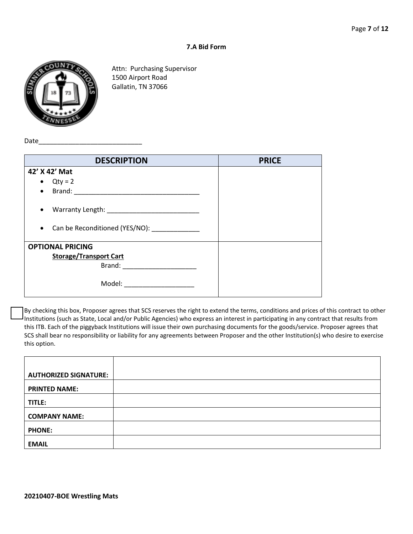#### **7.A Bid Form**



Attn: Purchasing Supervisor 1500 Airport Road Gallatin, TN 37066

Date\_

| <b>DESCRIPTION</b>                                                                                                                                                                                                             | <b>PRICE</b> |
|--------------------------------------------------------------------------------------------------------------------------------------------------------------------------------------------------------------------------------|--------------|
| 42' X 42' Mat                                                                                                                                                                                                                  |              |
| $\bullet$ Qty = 2                                                                                                                                                                                                              |              |
| $\bullet$                                                                                                                                                                                                                      |              |
| $\bullet$<br>Can be Reconditioned (YES/NO):<br>$\bullet$                                                                                                                                                                       |              |
| <b>OPTIONAL PRICING</b>                                                                                                                                                                                                        |              |
| <b>Storage/Transport Cart</b>                                                                                                                                                                                                  |              |
| Brand: Expansion of the state of the state of the state of the state of the state of the state of the state of the state of the state of the state of the state of the state of the state of the state of the state of the sta |              |
|                                                                                                                                                                                                                                |              |

By checking this box, Proposer agrees that SCS reserves the right to extend the terms, conditions and prices of this contract to other Institutions (such as State, Local and/or Public Agencies) who express an interest in participating in any contract that results from this ITB. Each of the piggyback Institutions will issue their own purchasing documents for the goods/service. Proposer agrees that SCS shall bear no responsibility or liability for any agreements between Proposer and the other Institution(s) who desire to exercise this option.

| <b>AUTHORIZED SIGNATURE:</b> |  |
|------------------------------|--|
|                              |  |
|                              |  |
|                              |  |
| <b>PRINTED NAME:</b>         |  |
|                              |  |
|                              |  |
| TITLE:                       |  |
|                              |  |
|                              |  |
| <b>COMPANY NAME:</b>         |  |
|                              |  |
|                              |  |
|                              |  |
| <b>PHONE:</b>                |  |
|                              |  |
|                              |  |
| <b>EMAIL</b>                 |  |
|                              |  |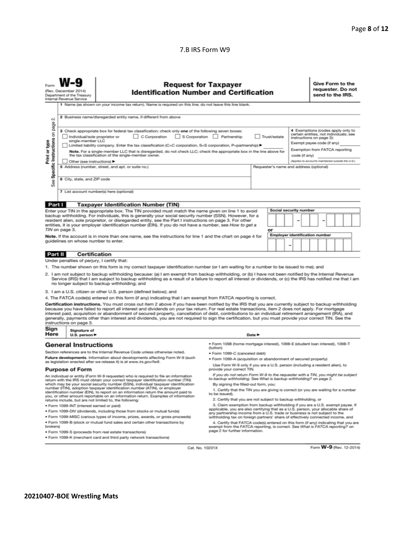#### 7.B IRS Form W9

|                                                                                                                                                                                                                                                                                                                                                                                                                                                                                                                                                                                                                                                                                                                                                                             | <b>Request for Taxpayer</b><br><b>Identification Number and Certification</b><br>(Rev. December 2014)<br>Department of the Treasury<br>Internal Revenue Service<br>1 Name (as shown on your income tax return). Name is required on this line; do not leave this line blank.                                                                                                                                                                                                                                                                                                                                                                                                                                                                                                                                                                                                                                                                |                                                                                                                                                                                                                                                                                                                                                                                                                                                                                                             |                                                                                                                                                                     | Give Form to the<br>requester. Do not<br>send to the IRS. |  |  |  |
|-----------------------------------------------------------------------------------------------------------------------------------------------------------------------------------------------------------------------------------------------------------------------------------------------------------------------------------------------------------------------------------------------------------------------------------------------------------------------------------------------------------------------------------------------------------------------------------------------------------------------------------------------------------------------------------------------------------------------------------------------------------------------------|---------------------------------------------------------------------------------------------------------------------------------------------------------------------------------------------------------------------------------------------------------------------------------------------------------------------------------------------------------------------------------------------------------------------------------------------------------------------------------------------------------------------------------------------------------------------------------------------------------------------------------------------------------------------------------------------------------------------------------------------------------------------------------------------------------------------------------------------------------------------------------------------------------------------------------------------|-------------------------------------------------------------------------------------------------------------------------------------------------------------------------------------------------------------------------------------------------------------------------------------------------------------------------------------------------------------------------------------------------------------------------------------------------------------------------------------------------------------|---------------------------------------------------------------------------------------------------------------------------------------------------------------------|-----------------------------------------------------------|--|--|--|
| οi                                                                                                                                                                                                                                                                                                                                                                                                                                                                                                                                                                                                                                                                                                                                                                          | 2 Business name/disregarded entity name, if different from above                                                                                                                                                                                                                                                                                                                                                                                                                                                                                                                                                                                                                                                                                                                                                                                                                                                                            |                                                                                                                                                                                                                                                                                                                                                                                                                                                                                                             |                                                                                                                                                                     |                                                           |  |  |  |
| Specific Instructions on<br>Print or type<br>See                                                                                                                                                                                                                                                                                                                                                                                                                                                                                                                                                                                                                                                                                                                            | page<br>4 Exemptions (codes apply only to<br>3 Check appropriate box for federal tax classification; check only one of the following seven boxes:<br>certain entities, not individuals; see<br>S Corporation Partnership<br>Individual/sole proprietor or<br>C Corporation<br>Trust/estate<br>instructions on page 3):<br>single-member LLC<br>Exempt payee code (if any)<br>Limited liability company. Enter the tax classification (C=C corporation, S=S corporation, P=partnership) ▶<br>Exemption from FATCA reporting<br>Note. For a single-member LLC that is disregarded, do not check LLC; check the appropriate box in the line above for<br>the tax classification of the single-member owner.<br>code (if any)<br>(Applies to accounts maintained outside the U.S.)<br>Other (see instructions) ▶<br>5 Address (number, street, and apt. or suite no.)<br>Requester's name and address (optional)<br>6 City, state, and ZIP code |                                                                                                                                                                                                                                                                                                                                                                                                                                                                                                             |                                                                                                                                                                     |                                                           |  |  |  |
|                                                                                                                                                                                                                                                                                                                                                                                                                                                                                                                                                                                                                                                                                                                                                                             |                                                                                                                                                                                                                                                                                                                                                                                                                                                                                                                                                                                                                                                                                                                                                                                                                                                                                                                                             | 7 List account number(s) here (optional)                                                                                                                                                                                                                                                                                                                                                                                                                                                                    |                                                                                                                                                                     |                                                           |  |  |  |
| Part I                                                                                                                                                                                                                                                                                                                                                                                                                                                                                                                                                                                                                                                                                                                                                                      |                                                                                                                                                                                                                                                                                                                                                                                                                                                                                                                                                                                                                                                                                                                                                                                                                                                                                                                                             | <b>Taxpayer Identification Number (TIN)</b>                                                                                                                                                                                                                                                                                                                                                                                                                                                                 |                                                                                                                                                                     |                                                           |  |  |  |
| Social security number<br>Enter your TIN in the appropriate box. The TIN provided must match the name given on line 1 to avoid<br>backup withholding. For individuals, this is generally your social security number (SSN). However, for a<br>resident alien, sole proprietor, or disregarded entity, see the Part I instructions on page 3. For other<br>entities, it is your employer identification number (EIN). If you do not have a number, see How to get a<br>TIN on page 3.<br>or<br><b>Employer identification number</b><br>Note. If the account is in more than one name, see the instructions for line 1 and the chart on page 4 for<br>guidelines on whose number to enter.                                                                                   |                                                                                                                                                                                                                                                                                                                                                                                                                                                                                                                                                                                                                                                                                                                                                                                                                                                                                                                                             |                                                                                                                                                                                                                                                                                                                                                                                                                                                                                                             |                                                                                                                                                                     |                                                           |  |  |  |
| Part II                                                                                                                                                                                                                                                                                                                                                                                                                                                                                                                                                                                                                                                                                                                                                                     | <b>Certification</b>                                                                                                                                                                                                                                                                                                                                                                                                                                                                                                                                                                                                                                                                                                                                                                                                                                                                                                                        |                                                                                                                                                                                                                                                                                                                                                                                                                                                                                                             |                                                                                                                                                                     |                                                           |  |  |  |
|                                                                                                                                                                                                                                                                                                                                                                                                                                                                                                                                                                                                                                                                                                                                                                             | Under penalties of perjury, I certify that:                                                                                                                                                                                                                                                                                                                                                                                                                                                                                                                                                                                                                                                                                                                                                                                                                                                                                                 |                                                                                                                                                                                                                                                                                                                                                                                                                                                                                                             |                                                                                                                                                                     |                                                           |  |  |  |
|                                                                                                                                                                                                                                                                                                                                                                                                                                                                                                                                                                                                                                                                                                                                                                             |                                                                                                                                                                                                                                                                                                                                                                                                                                                                                                                                                                                                                                                                                                                                                                                                                                                                                                                                             | 1. The number shown on this form is my correct taxpayer identification number (or I am waiting for a number to be issued to me); and<br>2. I am not subject to backup withholding because: (a) I am exempt from backup withholding, or (b) I have not been notified by the Internal Revenue<br>Service (IRS) that I am subject to backup withholding as a result of a failure to report all interest or dividends, or (c) the IRS has notified me that I am<br>no longer subject to backup withholding; and |                                                                                                                                                                     |                                                           |  |  |  |
|                                                                                                                                                                                                                                                                                                                                                                                                                                                                                                                                                                                                                                                                                                                                                                             |                                                                                                                                                                                                                                                                                                                                                                                                                                                                                                                                                                                                                                                                                                                                                                                                                                                                                                                                             | 3. I am a U.S. citizen or other U.S. person (defined below); and                                                                                                                                                                                                                                                                                                                                                                                                                                            |                                                                                                                                                                     |                                                           |  |  |  |
| 4. The FATCA code(s) entered on this form (if any) indicating that I am exempt from FATCA reporting is correct.<br>Certification instructions. You must cross out item 2 above if you have been notified by the IRS that you are currently subject to backup withholding<br>because you have failed to report all interest and dividends on your tax return. For real estate transactions, item 2 does not apply. For mortgage<br>interest paid, acquisition or abandonment of secured property, cancellation of debt, contributions to an individual retirement arrangement (IRA), and<br>generally, payments other than interest and dividends, you are not required to sign the certification, but you must provide your correct TIN. See the<br>instructions on page 3. |                                                                                                                                                                                                                                                                                                                                                                                                                                                                                                                                                                                                                                                                                                                                                                                                                                                                                                                                             |                                                                                                                                                                                                                                                                                                                                                                                                                                                                                                             |                                                                                                                                                                     |                                                           |  |  |  |
| Sign<br>Here                                                                                                                                                                                                                                                                                                                                                                                                                                                                                                                                                                                                                                                                                                                                                                | Signature of<br>U.S. person $\blacktriangleright$                                                                                                                                                                                                                                                                                                                                                                                                                                                                                                                                                                                                                                                                                                                                                                                                                                                                                           |                                                                                                                                                                                                                                                                                                                                                                                                                                                                                                             |                                                                                                                                                                     | Date $\blacktriangleright$                                |  |  |  |
|                                                                                                                                                                                                                                                                                                                                                                                                                                                                                                                                                                                                                                                                                                                                                                             | <b>General Instructions</b>                                                                                                                                                                                                                                                                                                                                                                                                                                                                                                                                                                                                                                                                                                                                                                                                                                                                                                                 |                                                                                                                                                                                                                                                                                                                                                                                                                                                                                                             | · Form 1098 (home mortgage interest), 1098-E (student loan interest), 1098-T                                                                                        |                                                           |  |  |  |
|                                                                                                                                                                                                                                                                                                                                                                                                                                                                                                                                                                                                                                                                                                                                                                             |                                                                                                                                                                                                                                                                                                                                                                                                                                                                                                                                                                                                                                                                                                                                                                                                                                                                                                                                             | Section references are to the Internal Revenue Code unless otherwise noted.                                                                                                                                                                                                                                                                                                                                                                                                                                 | (tuition)<br>· Form 1099-C (canceled debt)                                                                                                                          |                                                           |  |  |  |
|                                                                                                                                                                                                                                                                                                                                                                                                                                                                                                                                                                                                                                                                                                                                                                             |                                                                                                                                                                                                                                                                                                                                                                                                                                                                                                                                                                                                                                                                                                                                                                                                                                                                                                                                             | Future developments. Information about developments affecting Form W-9 (such                                                                                                                                                                                                                                                                                                                                                                                                                                | . Form 1099-A (acquisition or abandonment of secured property)                                                                                                      |                                                           |  |  |  |
| as legislation enacted after we release it) is at www.irs.gov/fw9.<br>Use Form W-9 only if you are a U.S. person (including a resident alien), to<br>provide your correct TIN.                                                                                                                                                                                                                                                                                                                                                                                                                                                                                                                                                                                              |                                                                                                                                                                                                                                                                                                                                                                                                                                                                                                                                                                                                                                                                                                                                                                                                                                                                                                                                             |                                                                                                                                                                                                                                                                                                                                                                                                                                                                                                             |                                                                                                                                                                     |                                                           |  |  |  |
| <b>Purpose of Form</b><br>If you do not return Form W-9 to the requester with a TIN, you might be subject<br>An individual or entity (Form W-9 requester) who is required to file an information<br>to backup withholding. See What is backup withholding? on page 2.<br>return with the IRS must obtain your correct taxpayer identification number (TIN)<br>which may be your social security number (SSN), individual taxpayer identification<br>By signing the filled-out form, you:<br>number (ITIN), adoption taxpayer identification number (ATIN), or employer<br>1. Certify that the TIN you are giving is correct (or you are waiting for a number<br>identification number (EIN), to report on an information return the amount paid to                          |                                                                                                                                                                                                                                                                                                                                                                                                                                                                                                                                                                                                                                                                                                                                                                                                                                                                                                                                             |                                                                                                                                                                                                                                                                                                                                                                                                                                                                                                             |                                                                                                                                                                     |                                                           |  |  |  |
| to be issued).<br>you, or other amount reportable on an information return. Examples of information<br>2. Certify that you are not subject to backup withholding, or                                                                                                                                                                                                                                                                                                                                                                                                                                                                                                                                                                                                        |                                                                                                                                                                                                                                                                                                                                                                                                                                                                                                                                                                                                                                                                                                                                                                                                                                                                                                                                             |                                                                                                                                                                                                                                                                                                                                                                                                                                                                                                             |                                                                                                                                                                     |                                                           |  |  |  |
| returns include, but are not limited to, the following:<br>3. Claim exemption from backup withholding if you are a U.S. exempt payee. If<br>· Form 1099-INT (interest earned or paid)                                                                                                                                                                                                                                                                                                                                                                                                                                                                                                                                                                                       |                                                                                                                                                                                                                                                                                                                                                                                                                                                                                                                                                                                                                                                                                                                                                                                                                                                                                                                                             |                                                                                                                                                                                                                                                                                                                                                                                                                                                                                                             |                                                                                                                                                                     |                                                           |  |  |  |
|                                                                                                                                                                                                                                                                                                                                                                                                                                                                                                                                                                                                                                                                                                                                                                             |                                                                                                                                                                                                                                                                                                                                                                                                                                                                                                                                                                                                                                                                                                                                                                                                                                                                                                                                             | . Form 1099-DIV (dividends, including those from stocks or mutual funds)                                                                                                                                                                                                                                                                                                                                                                                                                                    | applicable, you are also certifying that as a U.S. person, your allocable share of<br>any partnership income from a U.S. trade or business is not subject to the    |                                                           |  |  |  |
|                                                                                                                                                                                                                                                                                                                                                                                                                                                                                                                                                                                                                                                                                                                                                                             |                                                                                                                                                                                                                                                                                                                                                                                                                                                                                                                                                                                                                                                                                                                                                                                                                                                                                                                                             | * Form 1099-MISC (various types of income, prizes, awards, or gross proceeds)                                                                                                                                                                                                                                                                                                                                                                                                                               | withholding tax on foreign partners' share of effectively connected income, and                                                                                     |                                                           |  |  |  |
| brokers)                                                                                                                                                                                                                                                                                                                                                                                                                                                                                                                                                                                                                                                                                                                                                                    |                                                                                                                                                                                                                                                                                                                                                                                                                                                                                                                                                                                                                                                                                                                                                                                                                                                                                                                                             | . Form 1099-B (stock or mutual fund sales and certain other transactions by                                                                                                                                                                                                                                                                                                                                                                                                                                 | 4. Certify that FATCA code(s) entered on this form (if any) indicating that you are<br>exempt from the FATCA reporting, is correct. See What is FATCA reporting? on |                                                           |  |  |  |
|                                                                                                                                                                                                                                                                                                                                                                                                                                                                                                                                                                                                                                                                                                                                                                             |                                                                                                                                                                                                                                                                                                                                                                                                                                                                                                                                                                                                                                                                                                                                                                                                                                                                                                                                             | · Form 1099-S (proceeds from real estate transactions)                                                                                                                                                                                                                                                                                                                                                                                                                                                      | page 2 for further information.                                                                                                                                     |                                                           |  |  |  |
|                                                                                                                                                                                                                                                                                                                                                                                                                                                                                                                                                                                                                                                                                                                                                                             | . Form 1099-K (merchant card and third party network transactions)                                                                                                                                                                                                                                                                                                                                                                                                                                                                                                                                                                                                                                                                                                                                                                                                                                                                          |                                                                                                                                                                                                                                                                                                                                                                                                                                                                                                             |                                                                                                                                                                     |                                                           |  |  |  |

Cat. No. 10231X

Form W-9 (Rev. 12-2014)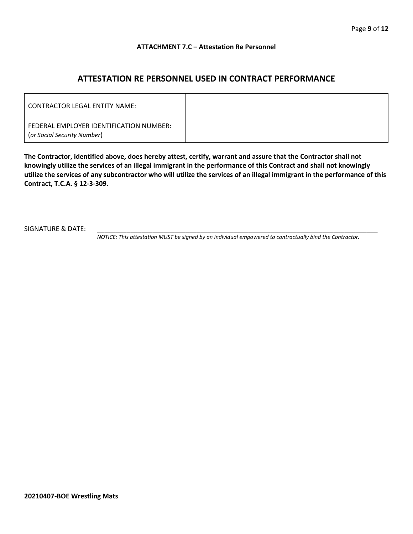#### **ATTACHMENT 7.C – Attestation Re Personnel**

## **ATTESTATION RE PERSONNEL USED IN CONTRACT PERFORMANCE**

| <b>CONTRACTOR LEGAL ENTITY NAME:</b>                                   |  |
|------------------------------------------------------------------------|--|
| FEDERAL EMPLOYER IDENTIFICATION NUMBER:<br>(or Social Security Number) |  |

**The Contractor, identified above, does hereby attest, certify, warrant and assure that the Contractor shall not knowingly utilize the services of an illegal immigrant in the performance of this Contract and shall not knowingly utilize the services of any subcontractor who will utilize the services of an illegal immigrant in the performance of this Contract, T.C.A. § 12-3-309.**

SIGNATURE & DATE:

*NOTICE: This attestation MUST be signed by an individual empowered to contractually bind the Contractor.*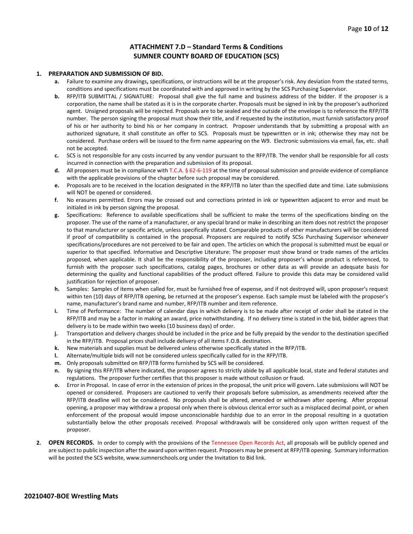#### **ATTACHMENT 7.D – Standard Terms & Conditions SUMNER COUNTY BOARD OF EDUCATION (SCS)**

#### **1. PREPARATION AND SUBMISSION OF BID.**

- **a.** Failure to examine any drawings**,** specifications, or instructions will be at the proposer's risk. Any deviation from the stated terms, conditions and specifications must be coordinated with and approved in writing by the SCS Purchasing Supervisor.
- **b.** RFP/ITB SUBMITTAL / SIGNATURE: Proposal shall give the full name and business address of the bidder. If the proposer is a corporation, the name shall be stated as it is in the corporate charter. Proposals must be signed in ink by the proposer's authorized agent. Unsigned proposals will be rejected. Proposals are to be sealed and the outside of the envelope is to reference the RFP/ITB number. The person signing the proposal must show their title, and if requested by the institution, must furnish satisfactory proof of his or her authority to bind his or her company in contract. Proposer understands that by submitting a proposal with an authorized signature, it shall constitute an offer to SCS. Proposals must be typewritten or in ink; otherwise they may not be considered. Purchase orders will be issued to the firm name appearing on the W9. Electronic submissions via email, fax, etc. shall not be accepted.
- **c.** SCS is not responsible for any costs incurred by any vendor pursuant to the RFP/ITB. The vendor shall be responsible for all costs incurred in connection with the preparation and submission of its proposal.
- **d.** All proposers must be in compliance with T.C.A. § 62-6-119 at the time of proposal submission and provide evidence of compliance with the applicable provisions of the chapter before such proposal may be considered.
- **e.** Proposals are to be received in the location designated in the RFP/ITB no later than the specified date and time. Late submissions will NOT be opened or considered.
- **f.** No erasures permitted. Errors may be crossed out and corrections printed in ink or typewritten adjacent to error and must be initialed in ink by person signing the proposal.
- **g.** Specifications: Reference to available specifications shall be sufficient to make the terms of the specifications binding on the proposer. The use of the name of a manufacturer, or any special brand or make in describing an item does not restrict the proposer to that manufacturer or specific article, unless specifically stated. Comparable products of other manufacturers will be considered if proof of compatibility is contained in the proposal. Proposers are required to notify SCSs Purchasing Supervisor whenever specifications/procedures are not perceived to be fair and open. The articles on which the proposal is submitted must be equal or superior to that specified. Informative and Descriptive Literature: The proposer must show brand or trade names of the articles proposed, when applicable. It shall be the responsibility of the proposer, including proposer's whose product is referenced, to furnish with the proposer such specifications, catalog pages, brochures or other data as will provide an adequate basis for determining the quality and functional capabilities of the product offered. Failure to provide this data may be considered valid justification for rejection of proposer.
- **h.** Samples: Samples of items when called for, must be furnished free of expense, and if not destroyed will, upon proposer's request within ten (10) days of RFP/ITB opening, be returned at the proposer's expense. Each sample must be labeled with the proposer's name, manufacturer's brand name and number, RFP/ITB number and item reference.
- **i.** Time of Performance: The number of calendar days in which delivery is to be made after receipt of order shall be stated in the RFP/ITB and may be a factor in making an award, price notwithstanding. If no delivery time is stated in the bid, bidder agrees that delivery is to be made within two weeks (10 business days) of order.
- **j.** Transportation and delivery charges should be included in the price and be fully prepaid by the vendor to the destination specified in the RFP/ITB. Proposal prices shall include delivery of all items F.O.B. destination.
- **k.** New materials and supplies must be delivered unless otherwise specifically stated in the RFP/ITB.
- **l.** Alternate/multiple bids will not be considered unless specifically called for in the RFP/ITB.
- **m.** Only proposals submitted on RFP/ITB forms furnished by SCS will be considered.
- **n.** By signing this RFP/ITB where indicated, the proposer agrees to strictly abide by all applicable local, state and federal statutes and regulations. The proposer further certifies that this proposer is made without collusion or fraud.
- **o.** Error in Proposal. In case of error in the extension of prices in the proposal, the unit price will govern. Late submissions will NOT be opened or considered. Proposers are cautioned to verify their proposals before submission, as amendments received after the RFP/ITB deadline will not be considered. No proposals shall be altered, amended or withdrawn after opening. After proposal opening, a proposer may withdraw a proposal only when there is obvious clerical error such as a misplaced decimal point, or when enforcement of the proposal would impose unconscionable hardship due to an error in the proposal resulting in a quotation substantially below the other proposals received. Proposal withdrawals will be considered only upon written request of the proposer.
- **2. OPEN RECORDS.** In order to comply with the provisions of the Tennessee Open Records Act, all proposals will be publicly opened and are subject to public inspection after the award upon written request. Proposers may be present at RFP/ITB opening. Summary information will be posted the SCS website, www.sumnerschools.org under the Invitation to Bid link.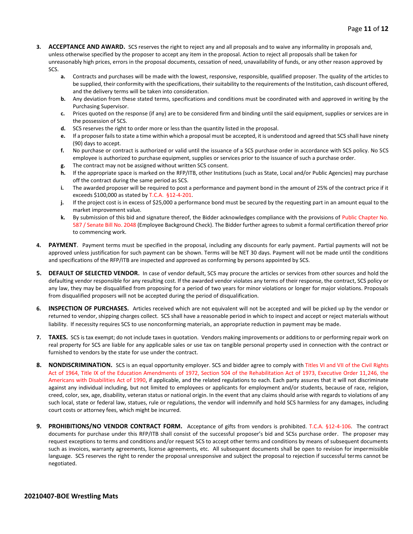- **3. ACCEPTANCE AND AWARD.** SCS reserves the right to reject any and all proposals and to waive any informality in proposals and, unless otherwise specified by the proposer to accept any item in the proposal. Action to reject all proposals shall be taken for unreasonably high prices, errors in the proposal documents, cessation of need, unavailability of funds, or any other reason approved by SCS.
	- **a.** Contracts and purchases will be made with the lowest, responsive, responsible, qualified proposer. The quality of the articles to be supplied, their conformity with the specifications, their suitability to the requirements of the Institution, cash discount offered, and the delivery terms will be taken into consideration.
	- **b.** Any deviation from these stated terms, specifications and conditions must be coordinated with and approved in writing by the Purchasing Supervisor.
	- **c.** Prices quoted on the response (if any) are to be considered firm and binding until the said equipment, supplies or services are in the possession of SCS.
	- **d.** SCS reserves the right to order more or less than the quantity listed in the proposal.
	- **e.** If a proposer fails to state a time within which a proposal must be accepted, it is understood and agreed that SCS shall have ninety (90) days to accept.
	- **f.** No purchase or contract is authorized or valid until the issuance of a SCS purchase order in accordance with SCS policy. No SCS employee is authorized to purchase equipment, supplies or services prior to the issuance of such a purchase order.
	- **g.** The contract may not be assigned without written SCS consent.
	- **h.** If the appropriate space is marked on the RFP/ITB, other Institutions (such as State, Local and/or Public Agencies) may purchase off the contract during the same period as SCS.
	- **i.** The awarded proposer will be required to post a performance and payment bond in the amount of 25% of the contract price if it exceeds \$100,000 as stated by T.C.A. §12-4-201.
	- **j.** If the project cost is in excess of \$25,000 a performance bond must be secured by the requesting part in an amount equal to the market improvement value.
	- **k.** By submission of this bid and signature thereof, the Bidder acknowledges compliance with the provisions of Public Chapter No. 587 / Senate Bill No. 2048 (Employee Background Check). The Bidder further agrees to submit a formal certification thereof prior to commencing work.
- **4. PAYMENT**. Payment terms must be specified in the proposal, including any discounts for early payment. Partial payments will not be approved unless justification for such payment can be shown. Terms will be NET 30 days. Payment will not be made until the conditions and specifications of the RFP/ITB are inspected and approved as conforming by persons appointed by SCS.
- **5. DEFAULT OF SELECTED VENDOR.** In case of vendor default, SCS may procure the articles or services from other sources and hold the defaulting vendor responsible for any resulting cost. If the awarded vendor violates any terms of their response, the contract, SCS policy or any law, they may be disqualified from proposing for a period of two years for minor violations or longer for major violations. Proposals from disqualified proposers will not be accepted during the period of disqualification.
- **6. INSPECTION OF PURCHASES.** Articles received which are not equivalent will not be accepted and will be picked up by the vendor or returned to vendor, shipping charges collect. SCS shall have a reasonable period in which to inspect and accept or reject materials without liability. If necessity requires SCS to use nonconforming materials, an appropriate reduction in payment may be made.
- **7. TAXES.** SCS is tax exempt; do not include taxes in quotation. Vendors making improvements or additions to or performing repair work on real property for SCS are liable for any applicable sales or use tax on tangible personal property used in connection with the contract or furnished to vendors by the state for use under the contract.
- **8. NONDISCRIMINATION.** SCS is an equal opportunity employer. SCS and bidder agree to comply with Titles VI and VII of the Civil Rights Act of 1964, Title IX of the Education Amendments of 1972, Section 504 of the Rehabilitation Act of 1973, Executive Order 11,246, the Americans with Disabilities Act of 1990, if applicable, and the related regulations to each. Each party assures that it will not discriminate against any individual including, but not limited to employees or applicants for employment and/or students, because of race, religion, creed, color, sex, age, disability, veteran status or national origin. In the event that any claims should arise with regards to violations of any such local, state or federal law, statues, rule or regulations, the vendor will indemnify and hold SCS harmless for any damages, including court costs or attorney fees, which might be incurred.
- **9. PROHIBITIONS/NO VENDOR CONTRACT FORM.** Acceptance of gifts from vendors is prohibited. T.C.A. §12-4-106. The contract documents for purchase under this RFP/ITB shall consist of the successful proposer's bid and SCSs purchase order. The proposer may request exceptions to terms and conditions and/or request SCS to accept other terms and conditions by means of subsequent documents such as invoices, warranty agreements, license agreements, etc. All subsequent documents shall be open to revision for impermissible language. SCS reserves the right to render the proposal unresponsive and subject the proposal to rejection if successful terms cannot be negotiated.